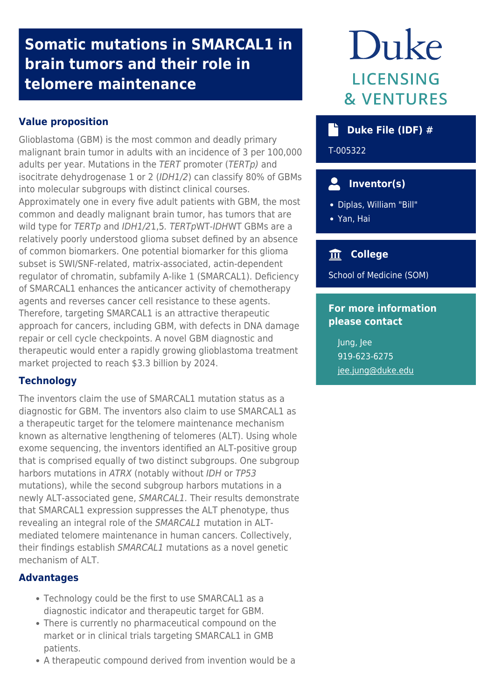# **Somatic mutations in SMARCAL1 in brain tumors and their role in telomere maintenance**

## **Value proposition**

Glioblastoma (GBM) is the most common and deadly primary malignant brain tumor in adults with an incidence of 3 per 100,000 adults per year. Mutations in the TERT promoter (TERTp) and isocitrate dehydrogenase 1 or 2 (IDH1/2) can classify 80% of GBMs into molecular subgroups with distinct clinical courses. Approximately one in every five adult patients with GBM, the most common and deadly malignant brain tumor, has tumors that are wild type for TERTp and IDH1/21,5. TERTpWT-IDHWT GBMs are a relatively poorly understood glioma subset defined by an absence of common biomarkers. One potential biomarker for this glioma subset is SWI/SNF-related, matrix-associated, actin-dependent regulator of chromatin, subfamily A-like 1 (SMARCAL1). Deficiency of SMARCAL1 enhances the anticancer activity of chemotherapy agents and reverses cancer cell resistance to these agents. Therefore, targeting SMARCAL1 is an attractive therapeutic approach for cancers, including GBM, with defects in DNA damage repair or cell cycle checkpoints. A novel GBM diagnostic and therapeutic would enter a rapidly growing glioblastoma treatment market projected to reach \$3.3 billion by 2024.

#### **Technology**

The inventors claim the use of SMARCAL1 mutation status as a diagnostic for GBM. The inventors also claim to use SMARCAL1 as a therapeutic target for the telomere maintenance mechanism known as alternative lengthening of telomeres (ALT). Using whole exome sequencing, the inventors identified an ALT-positive group that is comprised equally of two distinct subgroups. One subgroup harbors mutations in ATRX (notably without IDH or TP53 mutations), while the second subgroup harbors mutations in a newly ALT-associated gene, SMARCAL1. Their results demonstrate that SMARCAL1 expression suppresses the ALT phenotype, thus revealing an integral role of the SMARCAL1 mutation in ALTmediated telomere maintenance in human cancers. Collectively, their findings establish SMARCAL1 mutations as a novel genetic mechanism of ALT.

#### **Advantages**

- Technology could be the first to use SMARCAL1 as a diagnostic indicator and therapeutic target for GBM.
- There is currently no pharmaceutical compound on the market or in clinical trials targeting SMARCAL1 in GMB patients.
- A therapeutic compound derived from invention would be a

# Duke **LICENSING & VENTURES**

## **Duke File (IDF) #**

T-005322

## **Inventor(s)**

- Diplas, William "Bill"
- Yan, Hai

## **College**

School of Medicine (SOM)

## **For more information please contact**

Jung, Jee 919-623-6275 [jee.jung@duke.edu](mailto:jee.jung@duke.edu)